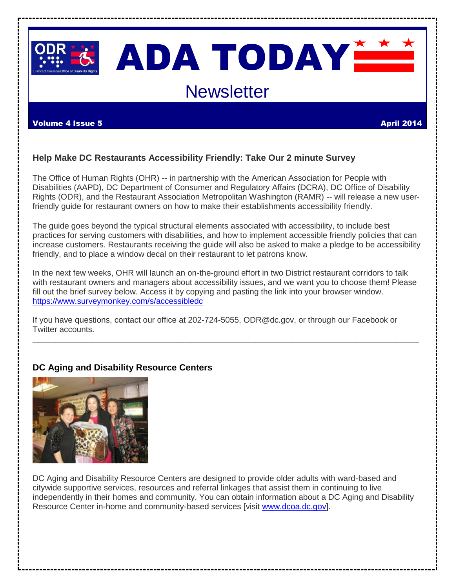

# ADA TODAY<del>M</del> **Newsletter**

#### Volume 4 Issue 5 April 2014

# **Help Make DC Restaurants Accessibility Friendly: Take Our 2 minute Survey**

The Office of Human Rights (OHR) -- in partnership with the American Association for People with Disabilities (AAPD), DC Department of Consumer and Regulatory Affairs (DCRA), DC Office of Disability Rights (ODR), and the Restaurant Association Metropolitan Washington (RAMR) -- will release a new userfriendly guide for restaurant owners on how to make their establishments accessibility friendly.

The guide goes beyond the typical structural elements associated with accessibility, to include best practices for serving customers with disabilities, and how to implement accessible friendly policies that can increase customers. Restaurants receiving the guide will also be asked to make a pledge to be accessibility friendly, and to place a window decal on their restaurant to let patrons know.

In the next few weeks, OHR will launch an on-the-ground effort in two District restaurant corridors to talk with restaurant owners and managers about accessibility issues, and we want you to choose them! Please fill out the brief survey below. Access it by copying and pasting the link into your browser window. <https://www.surveymonkey.com/s/accessibledc>

**\_\_\_\_\_\_\_\_\_\_\_\_\_\_\_\_\_\_\_\_\_\_\_\_\_\_\_\_\_\_\_\_\_\_\_\_\_\_\_\_\_\_\_\_\_\_\_\_\_\_\_\_\_\_\_\_\_\_\_\_\_\_\_\_\_\_\_\_\_\_\_\_\_\_\_\_\_\_\_\_\_\_\_\_\_**

If you have questions, contact our office at 202-724-5055, ODR@dc.gov, or through our Facebook or Twitter accounts.

# **DC Aging and Disability Resource Centers**



DC Aging and Disability Resource Centers are designed to provide older adults with ward-based and citywide supportive services, resources and referral linkages that assist them in continuing to live independently in their homes and community. You can obtain information about a DC Aging and Disability Resource Center in-home and community-based services [visit [www.dcoa.dc.gov\]](http://www.dcoa.dc.gov/).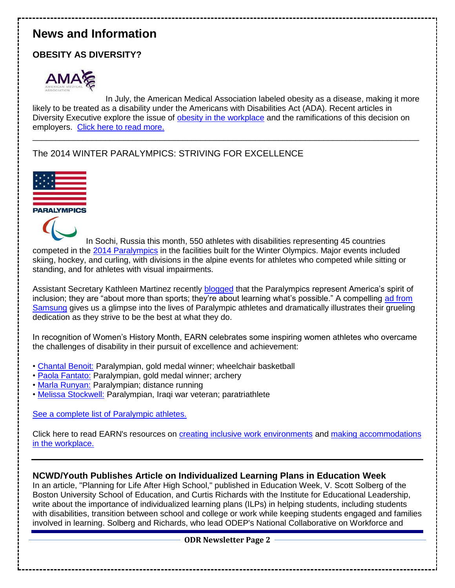# **News and Information**

# **OBESITY AS DIVERSITY?**



In July, the American Medical Association labeled obesity as a disease, making it more likely to be treated as a disability under the Americans with Disabilities Act (ADA). Recent articles in Diversity Executive explore the issue of [obesity in the workplace](http://bit.ly/1o2kZgB) and the ramifications of this decision on employers. [Click here to read more.](http://bit.ly/1i9Gaeo)

\_\_\_\_\_\_\_\_\_\_\_\_\_\_\_\_\_\_\_\_\_\_\_\_\_\_\_\_\_\_\_\_\_\_\_\_\_\_\_\_\_\_\_\_\_\_\_\_\_\_\_\_\_\_\_\_\_\_\_\_\_\_\_\_\_\_\_\_\_\_\_\_\_\_\_\_\_\_\_\_\_\_\_\_\_

The 2014 WINTER PARALYMPICS: STRIVING FOR EXCELLENCE



**PARALYMPICS** 



In Sochi, Russia this month, 550 athletes with disabilities representing 45 countries competed in the [2014 Paralympics](http://bit.ly/1e0rL3w) in the facilities built for the Winter Olympics. Major events included skiing, hockey, and curling, with divisions in the alpine events for athletes who competed while sitting or standing, and for athletes with visual impairments.

Assistant Secretary Kathleen Martinez recently [blogged](http://1.usa.gov/1iWiYzA) that the Paralympics represent America's spirit of inclusion; they are "about more than sports; they're about learning what's possible." A compelling [ad from](http://bit.ly/1i9JOoH)  [Samsung](http://bit.ly/1i9JOoH) gives us a glimpse into the lives of Paralympic athletes and dramatically illustrates their grueling dedication as they strive to be the best at what they do.

In recognition of Women's History Month, EARN celebrates some inspiring women athletes who overcame the challenges of disability in their pursuit of excellence and achievement:

- • [Chantal Benoit:](http://bit.ly/PU82dv) Paralympian, gold medal winner; wheelchair basketball
- • [Paola Fantato:](http://bit.ly/1d434VA) Paralympian, gold medal winner; archery
- • [Marla Runyan:](http://bit.ly/1gKOFgn) Paralympian; distance running
- • [Melissa Stockwell:](http://bit.ly/1dg4g8L) Paralympian, Iraqi war veteran; paratriathlete

### [See a complete list of Paralympic athletes.](http://bit.ly/1eqaVuW)

Click here to read EARN's resources on [creating inclusive work environments](http://bit.ly/1fK5uTZ) and [making accommodations](http://bit.ly/1iH1oRU)  [in the workplace.](http://bit.ly/1iH1oRU)

### **NCWD/Youth Publishes Article on Individualized Learning Plans in Education Week**

In an article, "Planning for Life After High School," published in Education Week, V. Scott Solberg of the Boston University School of Education, and Curtis Richards with the Institute for Educational Leadership, write about the importance of individualized learning plans (ILPs) in helping students, including students with disabilities, transition between school and college or work while keeping students engaged and families involved in learning. Solberg and Richards, who lead ODEP's National Collaborative on Workforce and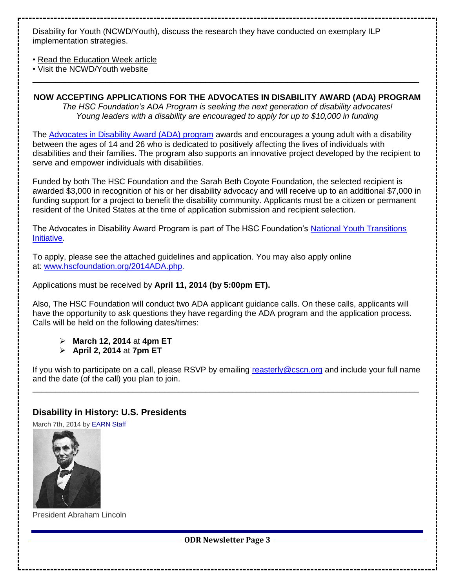Disability for Youth (NCWD/Youth), discuss the research they have conducted on exemplary ILP implementation strategies.

• [Read the Education Week article](http://links.govdelivery.com/track?type=click&enid=ZWFzPTEmbWFpbGluZ2lkPTIwMTQwMjI4LjI5NDkzMTgxJm1lc3NhZ2VpZD1NREItUFJELUJVTC0yMDE0MDIyOC4yOTQ5MzE4MSZkYXRhYmFzZWlkPTEwMDEmc2VyaWFsPTE3NDIxNjYxJmVtYWlsaWQ9bWFydGhhLmdhYmVoYXJ0QGtzLmdvdiZ1c2VyaWQ9bWFydGhhLmdhYmVoYXJ0QGtzLmdvdiZmbD0mZXh0cmE9TXVsdGl2YXJpYXRlSWQ9JiYm&&&104&&&http://www.edweek.org/ew/articles/2014/02/26/22solberg.h33.html) 

• [Visit the NCWD/Youth website](http://links.govdelivery.com/track?type=click&enid=ZWFzPTEmbWFpbGluZ2lkPTIwMTQwMjI4LjI5NDkzMTgxJm1lc3NhZ2VpZD1NREItUFJELUJVTC0yMDE0MDIyOC4yOTQ5MzE4MSZkYXRhYmFzZWlkPTEwMDEmc2VyaWFsPTE3NDIxNjYxJmVtYWlsaWQ9bWFydGhhLmdhYmVoYXJ0QGtzLmdvdiZ1c2VyaWQ9bWFydGhhLmdhYmVoYXJ0QGtzLmdvdiZmbD0mZXh0cmE9TXVsdGl2YXJpYXRlSWQ9JiYm&&&105&&&http://www.ncwd-youth.info)  \_\_\_\_\_\_\_\_\_\_\_\_\_\_\_\_\_\_\_\_\_\_\_\_\_\_\_\_\_\_\_\_\_\_\_\_\_\_\_\_\_\_\_\_\_\_\_\_\_\_\_\_\_\_\_\_\_\_\_\_\_\_\_\_\_\_\_\_\_\_\_\_\_\_\_\_\_\_\_\_\_\_\_\_\_

**NOW ACCEPTING APPLICATIONS FOR THE ADVOCATES IN DISABILITY AWARD (ADA) PROGRAM** *The HSC Foundation's ADA Program is seeking the next generation of disability advocates! Young leaders with a disability are encouraged to apply for up to \$10,000 in funding*

The [Advocates in Disability Award \(ADA\) program](http://www.hscfoundation.org/Awards_Programs) awards and encourages a young adult with a disability between the ages of 14 and 26 who is dedicated to positively affecting the lives of individuals with disabilities and their families. The program also supports an innovative project developed by the recipient to serve and empower individuals with disabilities.

Funded by both The HSC Foundation and the Sarah Beth Coyote Foundation, the selected recipient is awarded \$3,000 in recognition of his or her disability advocacy and will receive up to an additional \$7,000 in funding support for a project to benefit the disability community. Applicants must be a citizen or permanent resident of the United States at the time of application submission and recipient selection.

The Advocates in Disability Award Program is part of The HSC Foundation's National Youth Transitions **Initiative** 

To apply, please see the attached guidelines and application. You may also apply online at: [www.hscfoundation.org/2014ADA.php.](http://www.hscfoundation.org/2014ADA.php)

Applications must be received by **April 11, 2014 (by 5:00pm ET).**

Also, The HSC Foundation will conduct two ADA applicant guidance calls. On these calls, applicants will have the opportunity to ask questions they have regarding the ADA program and the application process. Calls will be held on the following dates/times:

- **March 12, 2014** at **4pm ET**
- **April 2, 2014** at **7pm ET**

If you wish to participate on a call, please RSVP by emailing [reasterly@cscn.org](mailto:reasterly@cscn.org) and include your full name and the date (of the call) you plan to join. \_\_\_\_\_\_\_\_\_\_\_\_\_\_\_\_\_\_\_\_\_\_\_\_\_\_\_\_\_\_\_\_\_\_\_\_\_\_\_\_\_\_\_\_\_\_\_\_\_\_\_\_\_\_\_\_\_\_\_\_\_\_\_\_\_\_\_\_\_\_\_\_\_\_\_\_\_\_\_\_\_\_\_\_\_

# **[Disability in History: U.S. Presidents](http://askearn.org/exchange/disability-in-history-us-presidents/)**

March 7th, 2014 b[y EARN Staff](http://askearn.org/exchange/author/earn-staff/)



President Abraham Lincoln

**ODR Newsletter Page 3**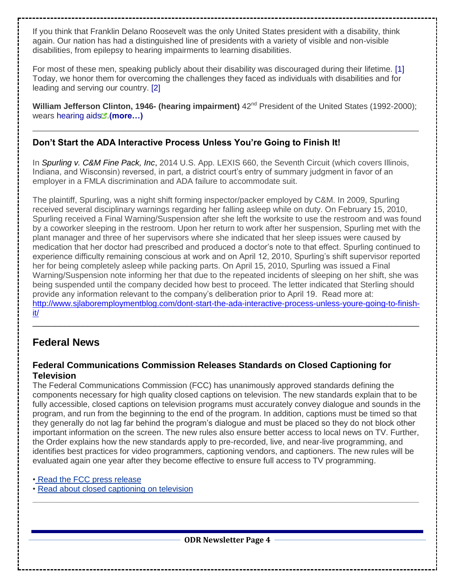If you think that Franklin Delano Roosevelt was the only United States president with a disability, think again. Our nation has had a distinguished line of presidents with a variety of visible and non-visible disabilities, from epilepsy to hearing impairments to learning disabilities.

For most of these men, speaking publicly about their disability was discouraged during their lifetime. [\[1\]](http://bit.ly/1dw0Ufc) Today, we honor them for overcoming the challenges they faced as individuals with disabilities and for leading and serving our country. [\[2\]](http://bit.ly/1kAUJLw)

**William Jefferson Clinton, 1946- (hearing impairment)**  $42^{nd}$  President of the United States (1992-2000); wears [hearing aids](http://askearn.org/exchange/category/articles/)<sup>"</sup> (more...)

 $\_$  ,  $\_$  ,  $\_$  ,  $\_$  ,  $\_$  ,  $\_$  ,  $\_$  ,  $\_$  ,  $\_$  ,  $\_$  ,  $\_$  ,  $\_$  ,  $\_$  ,  $\_$  ,  $\_$  ,  $\_$  ,  $\_$  ,  $\_$  ,  $\_$  ,  $\_$  ,  $\_$  ,  $\_$  ,  $\_$  ,  $\_$  ,  $\_$  ,  $\_$  ,  $\_$  ,  $\_$  ,  $\_$  ,  $\_$  ,  $\_$  ,  $\_$  ,  $\_$  ,  $\_$  ,  $\_$  ,  $\_$  ,  $\_$  ,

# **Don't Start the ADA Interactive Process Unless You're Going to Finish It!**

In *[Spurling v. C&M Fine Pack, Inc](http://media.ca7.uscourts.gov/cgi-bin/rssExec.pl?Submit=Display&Path=Y2014/D01-13/C:13-1708:J:Kanne:aut:T:fnOp:N:1272346:S:0)*, 2014 U.S. App. LEXIS 660, the Seventh Circuit (which covers Illinois, Indiana, and Wisconsin) reversed, in part, a district court's entry of summary judgment in favor of an employer in a FMLA discrimination and ADA failure to accommodate suit.

The plaintiff, Spurling, was a night shift forming inspector/packer employed by C&M. In 2009, Spurling received several disciplinary warnings regarding her falling asleep while on duty. On February 15, 2010, Spurling received a Final Warning/Suspension after she left the worksite to use the restroom and was found by a coworker sleeping in the restroom. Upon her return to work after her suspension, Spurling met with the plant manager and three of her supervisors where she indicated that her sleep issues were caused by medication that her doctor had prescribed and produced a doctor's note to that effect. Spurling continued to experience difficulty remaining conscious at work and on April 12, 2010, Spurling's shift supervisor reported her for being completely asleep while packing parts. On April 15, 2010, Spurling was issued a Final Warning/Suspension note informing her that due to the repeated incidents of sleeping on her shift, she was being suspended until the company decided how best to proceed. The letter indicated that Sterling should provide any information relevant to the company's deliberation prior to April 19. Read more at: [http://www.sjlaboremploymentblog.com/dont-start-the-ada-interactive-process-unless-youre-going-to-finish](http://www.sjlaboremploymentblog.com/dont-start-the-ada-interactive-process-unless-youre-going-to-finish-it/)[it/](http://www.sjlaboremploymentblog.com/dont-start-the-ada-interactive-process-unless-youre-going-to-finish-it/)

\_\_\_\_\_\_\_\_\_\_\_\_\_\_\_\_\_\_\_\_\_\_\_\_\_\_\_\_\_\_\_\_\_\_\_\_\_\_\_\_\_\_\_\_\_\_\_\_\_\_\_\_\_\_\_\_\_\_\_\_\_\_\_\_\_\_\_\_\_\_\_\_\_\_\_\_\_\_\_\_\_\_\_\_\_

# **Federal News**

### **Federal Communications Commission Releases Standards on Closed Captioning for Television**

The Federal Communications Commission (FCC) has unanimously approved standards defining the components necessary for high quality closed captions on television. The new standards explain that to be fully accessible, closed captions on television programs must accurately convey dialogue and sounds in the program, and run from the beginning to the end of the program. In addition, captions must be timed so that they generally do not lag far behind the program's dialogue and must be placed so they do not block other important information on the screen. The new rules also ensure better access to local news on TV. Further, the Order explains how the new standards apply to pre-recorded, live, and near-live programming, and identifies best practices for video programmers, captioning vendors, and captioners. The new rules will be evaluated again one year after they become effective to ensure full access to TV programming.

#### • [Read the FCC press release](http://links.govdelivery.com/track?type=click&enid=ZWFzPTEmbWFpbGluZ2lkPTIwMTQwMjI4LjI5NDkzMTgxJm1lc3NhZ2VpZD1NREItUFJELUJVTC0yMDE0MDIyOC4yOTQ5MzE4MSZkYXRhYmFzZWlkPTEwMDEmc2VyaWFsPTE3NDIxNjYxJmVtYWlsaWQ9bWFydGhhLmdhYmVoYXJ0QGtzLmdvdiZ1c2VyaWQ9bWFydGhhLmdhYmVoYXJ0QGtzLmdvdiZmbD0mZXh0cmE9TXVsdGl2YXJpYXRlSWQ9JiYm&&&102&&&http://transition.fcc.gov/Daily_Releases/Daily_Business/2014/db0221/DOC-325695A1.pdf)

• [Read about closed captioning on television](http://links.govdelivery.com/track?type=click&enid=ZWFzPTEmbWFpbGluZ2lkPTIwMTQwMjI4LjI5NDkzMTgxJm1lc3NhZ2VpZD1NREItUFJELUJVTC0yMDE0MDIyOC4yOTQ5MzE4MSZkYXRhYmFzZWlkPTEwMDEmc2VyaWFsPTE3NDIxNjYxJmVtYWlsaWQ9bWFydGhhLmdhYmVoYXJ0QGtzLmdvdiZ1c2VyaWQ9bWFydGhhLmdhYmVoYXJ0QGtzLmdvdiZmbD0mZXh0cmE9TXVsdGl2YXJpYXRlSWQ9JiYm&&&103&&&http://www.fcc.gov/guides/closed-captioning) 

**\_\_\_\_\_\_\_\_\_\_\_\_\_\_\_\_\_\_\_\_\_\_\_\_\_\_\_\_\_\_\_\_\_\_\_\_\_\_\_\_\_\_\_\_\_\_\_\_\_\_\_\_\_\_\_\_\_\_\_\_\_\_\_\_\_\_\_\_\_\_\_\_\_\_\_\_\_\_**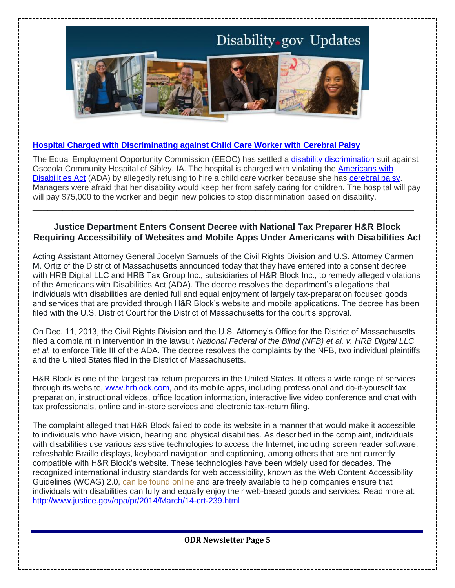

#### **[Hospital Charged with Discriminating against Child Care Worker with Cerebral Palsy](http://links.govdelivery.com/track?type=click&enid=ZWFzPTEmbWFpbGluZ2lkPTIwMTQwMzEwLjI5ODU4NTcxJm1lc3NhZ2VpZD1NREItUFJELUJVTC0yMDE0MDMxMC4yOTg1ODU3MSZkYXRhYmFzZWlkPTEwMDEmc2VyaWFsPTE2ODQyNDA3JmVtYWlsaWQ9Y2hyaXN0aW5hLm1pdGNoZWxsQGRjLmdvdiZ1c2VyaWQ9Y2hyaXN0aW5hLm1pdGNoZWxsQGRjLmdvdiZmbD0mZXh0cmE9TXVsdGl2YXJpYXRlSWQ9JiYm&&&101&&&http://www.eeoc.gov/eeoc/newsroom/release/3-7-14.cfm)**

The Equal Employment Opportunity Commission (EEOC) has settled a *disability discrimination* suit against Osceola Community Hospital of Sibley, IA. The hospital is charged with violating the [Americans with](http://links.govdelivery.com/track?type=click&enid=ZWFzPTEmbWFpbGluZ2lkPTIwMTQwMzEwLjI5ODU4NTcxJm1lc3NhZ2VpZD1NREItUFJELUJVTC0yMDE0MDMxMC4yOTg1ODU3MSZkYXRhYmFzZWlkPTEwMDEmc2VyaWFsPTE2ODQyNDA3JmVtYWlsaWQ9Y2hyaXN0aW5hLm1pdGNoZWxsQGRjLmdvdiZ1c2VyaWQ9Y2hyaXN0aW5hLm1pdGNoZWxsQGRjLmdvdiZmbD0mZXh0cmE9TXVsdGl2YXJpYXRlSWQ9JiYm&&&103&&&http://www.eeoc.gov/facts/ada18.html)  [Disabilities Act](http://links.govdelivery.com/track?type=click&enid=ZWFzPTEmbWFpbGluZ2lkPTIwMTQwMzEwLjI5ODU4NTcxJm1lc3NhZ2VpZD1NREItUFJELUJVTC0yMDE0MDMxMC4yOTg1ODU3MSZkYXRhYmFzZWlkPTEwMDEmc2VyaWFsPTE2ODQyNDA3JmVtYWlsaWQ9Y2hyaXN0aW5hLm1pdGNoZWxsQGRjLmdvdiZ1c2VyaWQ9Y2hyaXN0aW5hLm1pdGNoZWxsQGRjLmdvdiZmbD0mZXh0cmE9TXVsdGl2YXJpYXRlSWQ9JiYm&&&103&&&http://www.eeoc.gov/facts/ada18.html) (ADA) by allegedly refusing to hire a child care worker because she has [cerebral palsy.](http://links.govdelivery.com/track?type=click&enid=ZWFzPTEmbWFpbGluZ2lkPTIwMTQwMzEwLjI5ODU4NTcxJm1lc3NhZ2VpZD1NREItUFJELUJVTC0yMDE0MDMxMC4yOTg1ODU3MSZkYXRhYmFzZWlkPTEwMDEmc2VyaWFsPTE2ODQyNDA3JmVtYWlsaWQ9Y2hyaXN0aW5hLm1pdGNoZWxsQGRjLmdvdiZ1c2VyaWQ9Y2hyaXN0aW5hLm1pdGNoZWxsQGRjLmdvdiZmbD0mZXh0cmE9TXVsdGl2YXJpYXRlSWQ9JiYm&&&104&&&http://www.cdc.gov/ncbddd/cp/index.html) Managers were afraid that her disability would keep her from safely caring for children. The hospital will pay will pay \$75,000 to the worker and begin new policies to stop discrimination based on disability.

## **Justice Department Enters Consent Decree with National Tax Preparer H&R Block Requiring Accessibility of Websites and Mobile Apps Under Americans with Disabilities Act**

**\_\_\_\_\_\_\_\_\_\_\_\_\_\_\_\_\_\_\_\_\_\_\_\_\_\_\_\_\_\_\_\_\_\_\_\_\_\_\_\_\_\_\_\_\_\_\_\_\_\_\_\_\_\_\_\_\_\_\_\_\_\_\_\_\_\_\_\_\_\_\_\_\_\_\_\_\_**

Acting Assistant Attorney General Jocelyn Samuels of the Civil Rights Division and U.S. Attorney Carmen M. Ortiz of the District of Massachusetts announced today that they have entered into a consent decree with HRB Digital LLC and HRB Tax Group Inc., subsidiaries of H&R Block Inc., to remedy alleged violations of the Americans with Disabilities Act (ADA). The decree resolves the department's allegations that individuals with disabilities are denied full and equal enjoyment of largely tax-preparation focused goods and services that are provided through H&R Block's website and mobile applications. The decree has been filed with the U.S. District Court for the District of Massachusetts for the court's approval.

On Dec. 11, 2013, the Civil Rights Division and the U.S. Attorney's Office for the District of Massachusetts filed a complaint in intervention in the lawsuit *National Federal of the Blind (NFB) et al. v. HRB Digital LLC et al.* to enforce Title III of the ADA. The decree resolves the complaints by the NFB, two individual plaintiffs and the United States filed in the District of Massachusetts.

H&R Block is one of the largest tax return preparers in the United States. It offers a wide range of services through its website, [www.hrblock.com,](http://www.hrblock.com/) and its mobile apps, including professional and do-it-yourself tax preparation, instructional videos, office location information, interactive live video conference and chat with tax professionals, online and in-store services and electronic tax-return filing.

The complaint alleged that H&R Block failed to code its website in a manner that would make it accessible to individuals who have vision, hearing and physical disabilities. As described in the complaint, individuals with disabilities use various assistive technologies to access the Internet, including screen reader software, refreshable Braille displays, keyboard navigation and captioning, among others that are not currently compatible with H&R Block's website. These technologies have been widely used for decades. The recognized international industry standards for web accessibility, known as the Web Content Accessibility Guidelines (WCAG) 2.0, [can be found online](http://www.w3.org/TR/WCAG20/) and are freely available to help companies ensure that individuals with disabilities can fully and equally enjoy their web-based goods and services. Read more at: <http://www.justice.gov/opa/pr/2014/March/14-crt-239.html>